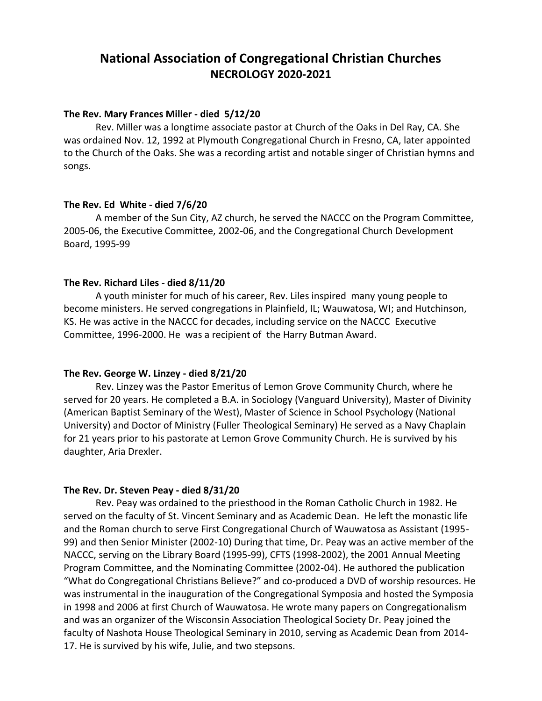# **National Association of Congregational Christian Churches NECROLOGY 2020-2021**

### **The Rev. Mary Frances Miller - died 5/12/20**

Rev. Miller was a longtime associate pastor at Church of the Oaks in Del Ray, CA. She was ordained Nov. 12, 1992 at Plymouth Congregational Church in Fresno, CA, later appointed to the Church of the Oaks. She was a recording artist and notable singer of Christian hymns and songs.

## **The Rev. Ed White - died 7/6/20**

A member of the Sun City, AZ church, he served the NACCC on the Program Committee, 2005-06, the Executive Committee, 2002-06, and the Congregational Church Development Board, 1995-99

## **The Rev. Richard Liles - died 8/11/20**

A youth minister for much of his career, Rev. Liles inspired many young people to become ministers. He served congregations in Plainfield, IL; Wauwatosa, WI; and Hutchinson, KS. He was active in the NACCC for decades, including service on the NACCC Executive Committee, 1996-2000. He was a recipient of the Harry Butman Award.

### **The Rev. George W. Linzey - died 8/21/20**

Rev. Linzey was the Pastor Emeritus of Lemon Grove Community Church, where he served for 20 years. He completed a B.A. in Sociology (Vanguard University), Master of Divinity (American Baptist Seminary of the West), Master of Science in School Psychology (National University) and Doctor of Ministry (Fuller Theological Seminary) He served as a Navy Chaplain for 21 years prior to his pastorate at Lemon Grove Community Church. He is survived by his daughter, Aria Drexler.

### **The Rev. Dr. Steven Peay - died 8/31/20**

Rev. Peay was ordained to the priesthood in the Roman Catholic Church in 1982. He served on the faculty of St. Vincent Seminary and as Academic Dean. He left the monastic life and the Roman church to serve First Congregational Church of Wauwatosa as Assistant (1995- 99) and then Senior Minister (2002-10) During that time, Dr. Peay was an active member of the NACCC, serving on the Library Board (1995-99), CFTS (1998-2002), the 2001 Annual Meeting Program Committee, and the Nominating Committee (2002-04). He authored the publication "What do Congregational Christians Believe?" and co-produced a DVD of worship resources. He was instrumental in the inauguration of the Congregational Symposia and hosted the Symposia in 1998 and 2006 at first Church of Wauwatosa. He wrote many papers on Congregationalism and was an organizer of the Wisconsin Association Theological Society Dr. Peay joined the faculty of Nashota House Theological Seminary in 2010, serving as Academic Dean from 2014- 17. He is survived by his wife, Julie, and two stepsons.